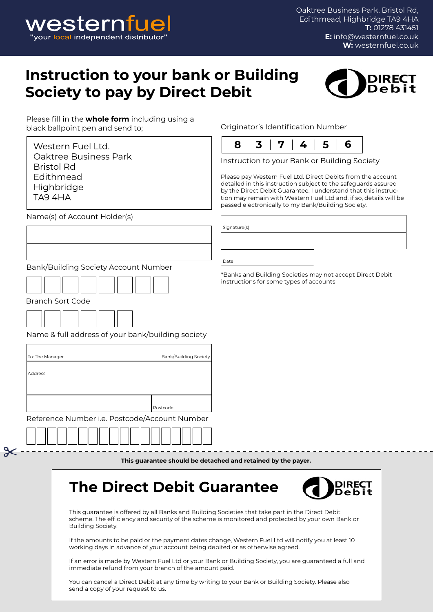

Oaktree Business Park, Bristol Rd, Edithmead, Highbridge TA9 4HA **T:** 01278 431451 **E:** info@westernfuel.co.uk **W:** westernfuel.co.uk

## **Instruction to your bank or Building Society to pay by Direct Debit**



Please fill in the **whole form** including using a black ballpoint pen and send to;

Western Fuel Ltd. Oaktree Business Park Bristol Rd Edithmead **Highbridge** TA9 4HA

Name(s) of Account Holder(s)

Originator's Identification Number



Instruction to your Bank or Building Society

Please pay Western Fuel Ltd. Direct Debits from the account detailed in this instruction subject to the safeguards assured by the Direct Debit Guarantee. I understand that this instruction may remain with Western Fuel Ltd and, if so, details will be passed electronically to my Bank/Building Society.

\*Banks and Building Societies may not accept Direct Debit

instructions for some types of accounts

Signature(s)

Date

Bank/Building Society Account Number



Branch Sort Code n e

Name & full address of your bank/building society

| To: The Manager                               | Bank/Building Society |  |  |
|-----------------------------------------------|-----------------------|--|--|
|                                               |                       |  |  |
| <b>Address</b>                                |                       |  |  |
|                                               |                       |  |  |
|                                               |                       |  |  |
|                                               |                       |  |  |
|                                               | Postcode              |  |  |
| Reference Number i.e. Postcode/Account Number |                       |  |  |
|                                               |                       |  |  |

**This guarantee should be detached and retained by the payer.**

## **The Direct Debit Guarantee**



This guarantee is offered by all Banks and Building Societies that take part in the Direct Debit scheme. The efficiency and security of the scheme is monitored and protected by your own Bank or Building Society.

If the amounts to be paid or the payment dates change, Western Fuel Ltd will notify you at least 10 working days in advance of your account being debited or as otherwise agreed.

If an error is made by Western Fuel Ltd or your Bank or Building Society, you are guaranteed a full and immediate refund from your branch of the amount paid.

You can cancel a Direct Debit at any time by writing to your Bank or Building Society. Please also send a copy of your request to us.